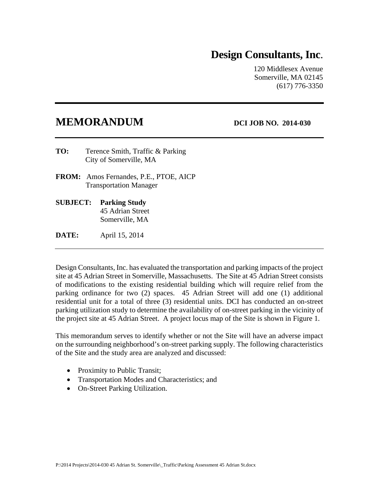# **Design Consultants, Inc**.

120 Middlesex Avenue Somerville, MA 02145 (617) 776-3350

# **MEMORANDUM** DCI JOB NO. 2014-030

- **TO:** Terence Smith, Traffic & Parking City of Somerville, MA
- **FROM:** Amos Fernandes, P.E., PTOE, AICP Transportation Manager
- **SUBJECT: Parking Study**  45 Adrian Street Somerville, MA

**DATE:** April 15, 2014

Design Consultants, Inc. has evaluated the transportation and parking impacts of the project site at 45 Adrian Street in Somerville, Massachusetts. The Site at 45 Adrian Street consists of modifications to the existing residential building which will require relief from the parking ordinance for two (2) spaces. 45 Adrian Street will add one (1) additional residential unit for a total of three (3) residential units. DCI has conducted an on-street parking utilization study to determine the availability of on-street parking in the vicinity of the project site at 45 Adrian Street. A project locus map of the Site is shown in Figure 1.

This memorandum serves to identify whether or not the Site will have an adverse impact on the surrounding neighborhood's on-street parking supply. The following characteristics of the Site and the study area are analyzed and discussed:

- Proximity to Public Transit;
- Transportation Modes and Characteristics; and
- On-Street Parking Utilization.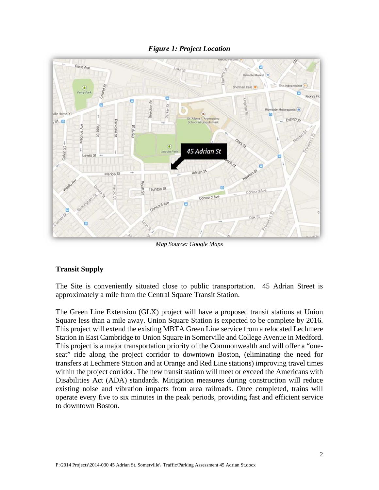#### *Figure 1: Project Location*



*Map Source: Google Maps* 

#### **Transit Supply**

The Site is conveniently situated close to public transportation. 45 Adrian Street is approximately a mile from the Central Square Transit Station.

The Green Line Extension (GLX) project will have a proposed transit stations at Union Square less than a mile away. Union Square Station is expected to be complete by 2016. This project will extend the existing MBTA Green Line service from a relocated Lechmere Station in East Cambridge to Union Square in Somerville and College Avenue in Medford. This project is a major transportation priority of the Commonwealth and will offer a "oneseat" ride along the project corridor to downtown Boston, (eliminating the need for transfers at Lechmere Station and at Orange and Red Line stations) improving travel times within the project corridor. The new transit station will meet or exceed the Americans with Disabilities Act (ADA) standards. Mitigation measures during construction will reduce existing noise and vibration impacts from area railroads. Once completed, trains will operate every five to six minutes in the peak periods, providing fast and efficient service to downtown Boston.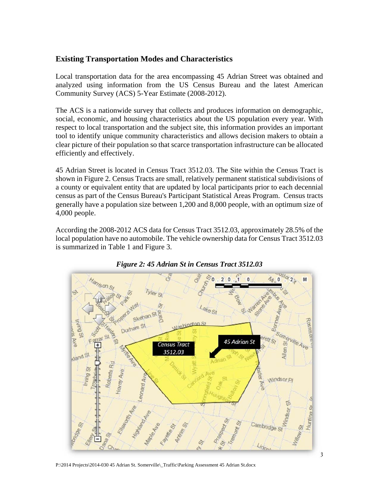#### **Existing Transportation Modes and Characteristics**

Local transportation data for the area encompassing 45 Adrian Street was obtained and analyzed using information from the US Census Bureau and the latest American Community Survey (ACS) 5-Year Estimate (2008-2012).

The ACS is a nationwide survey that collects and produces information on demographic, social, economic, and housing characteristics about the US population every year. With respect to local transportation and the subject site, this information provides an important tool to identify unique community characteristics and allows decision makers to obtain a clear picture of their population so that scarce transportation infrastructure can be allocated efficiently and effectively.

45 Adrian Street is located in Census Tract 3512.03. The Site within the Census Tract is shown in Figure 2. Census Tracts are small, relatively permanent statistical subdivisions of a county or equivalent entity that are updated by local participants prior to each decennial census as part of the Census Bureau's Participant Statistical Areas Program. Census tracts generally have a population size between 1,200 and 8,000 people, with an optimum size of 4,000 people.

According the 2008-2012 ACS data for Census Tract 3512.03, approximately 28.5% of the local population have no automobile. The vehicle ownership data for Census Tract 3512.03 is summarized in Table 1 and Figure 3.



 *Figure 2: 45 Adrian St in Census Tract 3512.03* 

P:\2014 Projects\2014-030 45 Adrian St. Somerville\\_Traffic\Parking Assessment 45 Adrian St.docx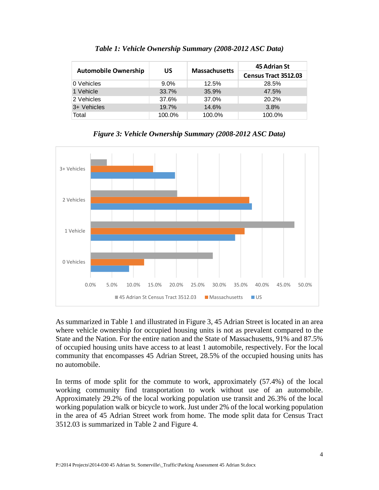|                             | <b>US</b> | <b>Massachusetts</b> | 45 Adrian St                |  |  |
|-----------------------------|-----------|----------------------|-----------------------------|--|--|
| <b>Automobile Ownership</b> |           |                      | <b>Census Tract 3512.03</b> |  |  |
| 10 Vehicles                 | $9.0\%$   | 12.5%                | 28.5%                       |  |  |
| 1 Vehicle                   | 33.7%     | 35.9%                | 47.5%                       |  |  |
| 2 Vehicles                  | 37.6%     | 37.0%                | 20.2%                       |  |  |
| 3+ Vehicles                 | 19.7%     | 14.6%                | 3.8%                        |  |  |
| Total                       | 100.0%    | 100.0%               | 100.0%                      |  |  |

*Table 1: Vehicle Ownership Summary (2008-2012 ASC Data)* 



*Figure 3: Vehicle Ownership Summary (2008-2012 ASC Data)*

As summarized in Table 1 and illustrated in Figure 3, 45 Adrian Street is located in an area where vehicle ownership for occupied housing units is not as prevalent compared to the State and the Nation. For the entire nation and the State of Massachusetts, 91% and 87.5% of occupied housing units have access to at least 1 automobile, respectively. For the local community that encompasses 45 Adrian Street, 28.5% of the occupied housing units has no automobile.

In terms of mode split for the commute to work, approximately (57.4%) of the local working community find transportation to work without use of an automobile. Approximately 29.2% of the local working population use transit and 26.3% of the local working population walk or bicycle to work. Just under 2% of the local working population in the area of 45 Adrian Street work from home. The mode split data for Census Tract 3512.03 is summarized in Table 2 and Figure 4.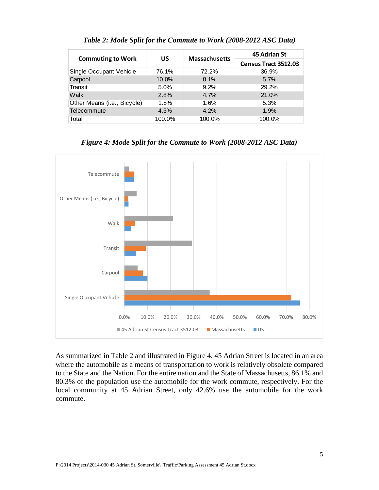| <b>Commuting to Work</b>    | US     | <b>Massachusetts</b> | 45 Adrian St                |  |  |
|-----------------------------|--------|----------------------|-----------------------------|--|--|
|                             |        |                      | <b>Census Tract 3512.03</b> |  |  |
| Single Occupant Vehicle     | 76.1%  | 72.2%                | 36.9%                       |  |  |
| Carpool                     | 10.0%  | 8.1%                 | 5.7%                        |  |  |
| Transit                     | 5.0%   | 9.2%                 | 29.2%                       |  |  |
| Walk                        | 2.8%   | 4.7%                 | 21.0%                       |  |  |
| Other Means (i.e., Bicycle) | 1.8%   | 1.6%                 | 5.3%                        |  |  |
| Telecommute                 | 4.3%   | 4.2%                 | 1.9%                        |  |  |
| Total                       | 100.0% | 100.0%               | 100.0%                      |  |  |

*Table 2: Mode Split for the Commute to Work (2008-2012 ASC Data)* 





As summarized in Table 2 and illustrated in Figure 4, 45 Adrian Street is located in an area where the automobile as a means of transportation to work is relatively obsolete compared to the State and the Nation. For the entire nation and the State of Massachusetts, 86.1% and 80.3% of the population use the automobile for the work commute, respectively. For the local community at 45 Adrian Street, only 42.6% use the automobile for the work commute.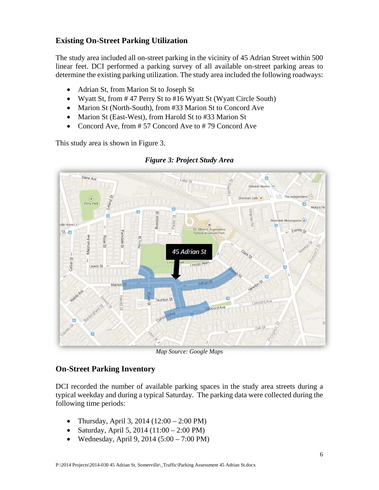### **Existing On-Street Parking Utilization**

The study area included all on-street parking in the vicinity of 45 Adrian Street within 500 linear feet. DCI performed a parking survey of all available on-street parking areas to determine the existing parking utilization. The study area included the following roadways:

- Adrian St, from Marion St to Joseph St
- Wyatt St, from # 47 Perry St to #16 Wyatt St (Wyatt Circle South)
- Marion St (North-South), from #33 Marion St to Concord Ave
- Marion St (East-West), from Harold St to #33 Marion St
- Concord Ave, from #57 Concord Ave to #79 Concord Ave

This study area is shown in Figure 3.



#### *Figure 3: Project Study Area*

*Map Source: Google Maps* 

#### **On-Street Parking Inventory**

DCI recorded the number of available parking spaces in the study area streets during a typical weekday and during a typical Saturday. The parking data were collected during the following time periods:

- Thursday, April 3, 2014 (12:00 2:00 PM)
- Saturday, April 5, 2014  $(11:00 2:00 \text{ PM})$
- Wednesday, April 9, 2014  $(5:00 7:00 \text{ PM})$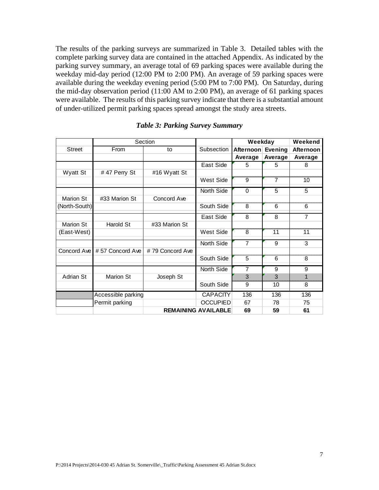The results of the parking surveys are summarized in Table 3. Detailed tables with the complete parking survey data are contained in the attached Appendix. As indicated by the parking survey summary, an average total of 69 parking spaces were available during the weekday mid-day period (12:00 PM to 2:00 PM). An average of 59 parking spaces were available during the weekday evening period (5:00 PM to 7:00 PM). On Saturday, during the mid-day observation period (11:00 AM to 2:00 PM), an average of 61 parking spaces were available. The results of this parking survey indicate that there is a substantial amount of under-utilized permit parking spaces spread amongst the study area streets.

|                  | Section            |                 |                            | Weekday           | Weekend        |                |
|------------------|--------------------|-----------------|----------------------------|-------------------|----------------|----------------|
| <b>Street</b>    | From               | to              | Subsection                 | Afternoon Evening |                | Afternoon      |
|                  |                    |                 |                            | Average           | Average        | Average        |
|                  |                    |                 | East Side                  | 5                 | 5              | 8              |
| <b>Wyatt St</b>  | #47 Perry St       | #16 Wyatt St    |                            |                   |                |                |
|                  |                    |                 | West Side                  | 9                 | $\overline{7}$ | 10             |
|                  |                    |                 | North Side                 | $\Omega$          | 5              | 5              |
| <b>Marion St</b> | #33 Marion St      | Concord Ave     |                            |                   |                |                |
| (North-South)    |                    |                 | South Side                 | 8                 | 6              | 6              |
|                  |                    |                 | East Side                  | 8                 | 8              | $\overline{7}$ |
| <b>Marion St</b> | Harold St          | #33 Marion St   |                            |                   |                |                |
| (East-West)      |                    |                 | West Side                  | 8                 | 11             | 11             |
|                  |                    |                 | North Side                 | $\overline{7}$    | 9              | 3              |
| Concord Ave      | #57 Concord Ave    | #79 Concord Ave |                            |                   |                |                |
|                  |                    |                 | South Side                 | 5                 | 6              | 8              |
|                  |                    |                 | North Side                 | $\overline{7}$    | 9              | 9              |
| Adrian St        | <b>Marion St</b>   | Joseph St       |                            | 3                 | 3              | $\mathbf{1}$   |
|                  |                    |                 | South Side                 | 9                 | 10             | 8              |
|                  | Accessible parking |                 | <b>CAPACITY</b>            | 136               | 136            | 136            |
|                  | Permit parking     |                 | <b>OCCUPIED</b>            | 67                | 78             | 75             |
|                  |                    |                 | <b>REMAINING AVAILABLE</b> | 69                | 59             | 61             |

#### *Table 3: Parking Survey Summary*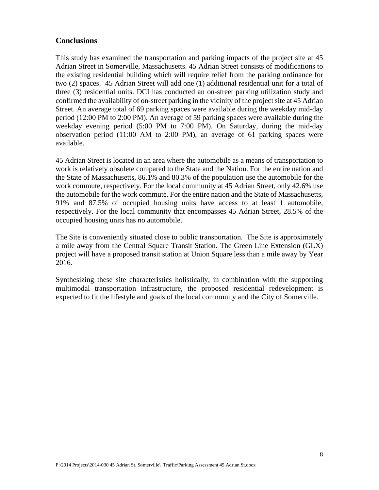#### **Conclusions**

This study has examined the transportation and parking impacts of the project site at 45 Adrian Street in Somerville, Massachusetts. 45 Adrian Street consists of modifications to the existing residential building which will require relief from the parking ordinance for two (2) spaces. 45 Adrian Street will add one (1) additional residential unit for a total of three (3) residential units. DCI has conducted an on-street parking utilization study and confirmed the availability of on-street parking in the vicinity of the project site at 45 Adrian Street. An average total of 69 parking spaces were available during the weekday mid-day period (12:00 PM to 2:00 PM). An average of 59 parking spaces were available during the weekday evening period (5:00 PM to 7:00 PM). On Saturday, during the mid-day observation period (11:00 AM to 2:00 PM), an average of 61 parking spaces were available.

45 Adrian Street is located in an area where the automobile as a means of transportation to work is relatively obsolete compared to the State and the Nation. For the entire nation and the State of Massachusetts, 86.1% and 80.3% of the population use the automobile for the work commute, respectively. For the local community at 45 Adrian Street, only 42.6% use the automobile for the work commute. For the entire nation and the State of Massachusetts, 91% and 87.5% of occupied housing units have access to at least 1 automobile, respectively. For the local community that encompasses 45 Adrian Street, 28.5% of the occupied housing units has no automobile.

The Site is conveniently situated close to public transportation. The Site is approximately a mile away from the Central Square Transit Station. The Green Line Extension (GLX) project will have a proposed transit station at Union Square less than a mile away by Year 2016.

Synthesizing these site characteristics holistically, in combination with the supporting multimodal transportation infrastructure, the proposed residential redevelopment is expected to fit the lifestyle and goals of the local community and the City of Somerville.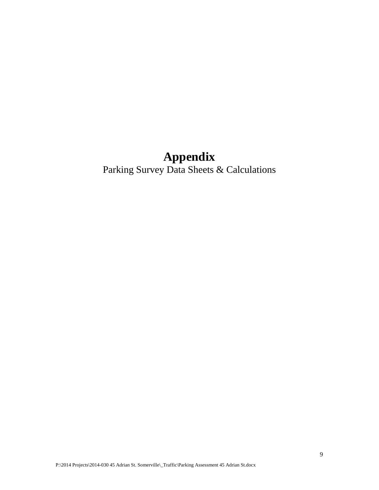# **Appendix**

Parking Survey Data Sheets & Calculations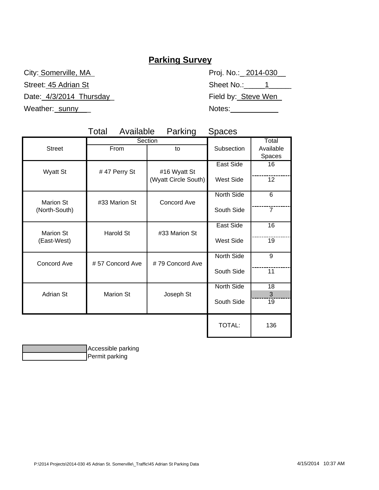# **Parking Survey**

Street: 45 Adrian St Sheet No.: 1 Date:\_4/3/2014\_Thursday\_ Thus Field by:\_Steve Wen

City: Somerville, MA Proj. No.: 2014-030 Weather:\_sunny\_\_\_ Notes: \_\_\_\_\_\_\_\_\_

|                  | Available<br>Total | Parking              | <b>Spaces</b>    |                              |
|------------------|--------------------|----------------------|------------------|------------------------------|
| <b>Street</b>    | From               | Section<br>to        | Subsection       | Total<br>Available<br>Spaces |
| <b>Wyatt St</b>  | #47 Perry St       | #16 Wyatt St         | East Side        | 16                           |
|                  |                    | (Wyatt Circle South) | <b>West Side</b> | 12                           |
| <b>Marion St</b> | #33 Marion St      | <b>Concord Ave</b>   | North Side       | 6                            |
| (North-South)    |                    |                      | South Side       | $\overline{7}$               |
| <b>Marion St</b> | Harold St          | #33 Marion St        | East Side        | 16                           |
| (East-West)      |                    |                      | <b>West Side</b> | 19                           |
| Concord Ave      | #57 Concord Ave    | #79 Concord Ave      | North Side       | 9                            |
|                  |                    |                      | South Side       | 11                           |
| <b>Adrian St</b> | <b>Marion St</b>   | Joseph St            | North Side       | 18<br>3                      |
|                  |                    |                      | South Side       | 19                           |
|                  |                    |                      | <b>TOTAL:</b>    | 136                          |

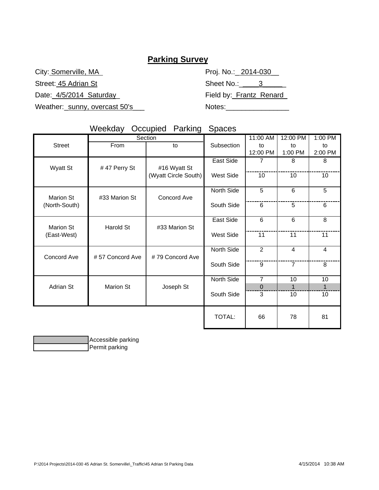## **Parking Survey**

Weather:\_sunny, overcast 50's\_\_\_ The Motes

| City: Somerville, MA         | Proj. No.:_ 2014-030__       |
|------------------------------|------------------------------|
| Street: 45 Adrian St         | Sheet No.: $\qquad \qquad 3$ |
| Date: 4/5/2014 Saturday      | Field by:_Frantz_Renard      |
| Weather: sunny overcast 50's | Notes:                       |

# Weekday Occupied Parking Spaces

|                                 | Section         |                      | 11:00 AM         | 12:00 PM       | $1:00$ PM      |                |
|---------------------------------|-----------------|----------------------|------------------|----------------|----------------|----------------|
| <b>Street</b>                   | From<br>to      |                      | Subsection       | to             | to             | to             |
|                                 |                 |                      |                  | 12:00 PM       | 1:00 PM        | 2:00 PM        |
|                                 |                 |                      | <b>East Side</b> | 7              | 8              | 8              |
| <b>Wyatt St</b>                 | #47 Perry St    | #16 Wyatt St         |                  |                |                |                |
|                                 |                 | (Wyatt Circle South) | <b>West Side</b> | 10             | 10             | 10             |
|                                 |                 |                      |                  |                |                |                |
|                                 |                 |                      | North Side       | 5              | 6              | 5              |
| Marion St                       | #33 Marion St   | Concord Ave          |                  |                |                |                |
| (North-South)                   |                 |                      | South Side       | 6              | 5              | 6              |
|                                 |                 |                      |                  |                |                |                |
| <b>Marion St</b><br>(East-West) | Harold St       | #33 Marion St        | East Side        | 6              | 6              | 8              |
|                                 |                 |                      |                  |                |                |                |
|                                 |                 |                      | West Side        | 11             | 11             | 11             |
|                                 |                 |                      | North Side       | $\overline{2}$ | $\overline{4}$ | $\overline{4}$ |
| Concord Ave                     | #57 Concord Ave | #79 Concord Ave      |                  |                |                |                |
|                                 |                 |                      | South Side       | 9              | $\overline{7}$ | 8              |
|                                 |                 |                      |                  |                |                |                |
|                                 | Marion St       | Joseph St            | North Side       | $\overline{7}$ | 10             | 10             |
| Adrian St                       |                 |                      |                  | $\Omega$       | $\mathbf{1}$   | $\mathbf{1}$   |
|                                 |                 |                      | South Side       | 3              | 10             | 10             |
|                                 |                 |                      |                  |                |                |                |
|                                 |                 |                      |                  |                |                |                |
|                                 |                 |                      | TOTAL:           | 66             | 78             | 81             |
|                                 |                 |                      |                  |                |                |                |